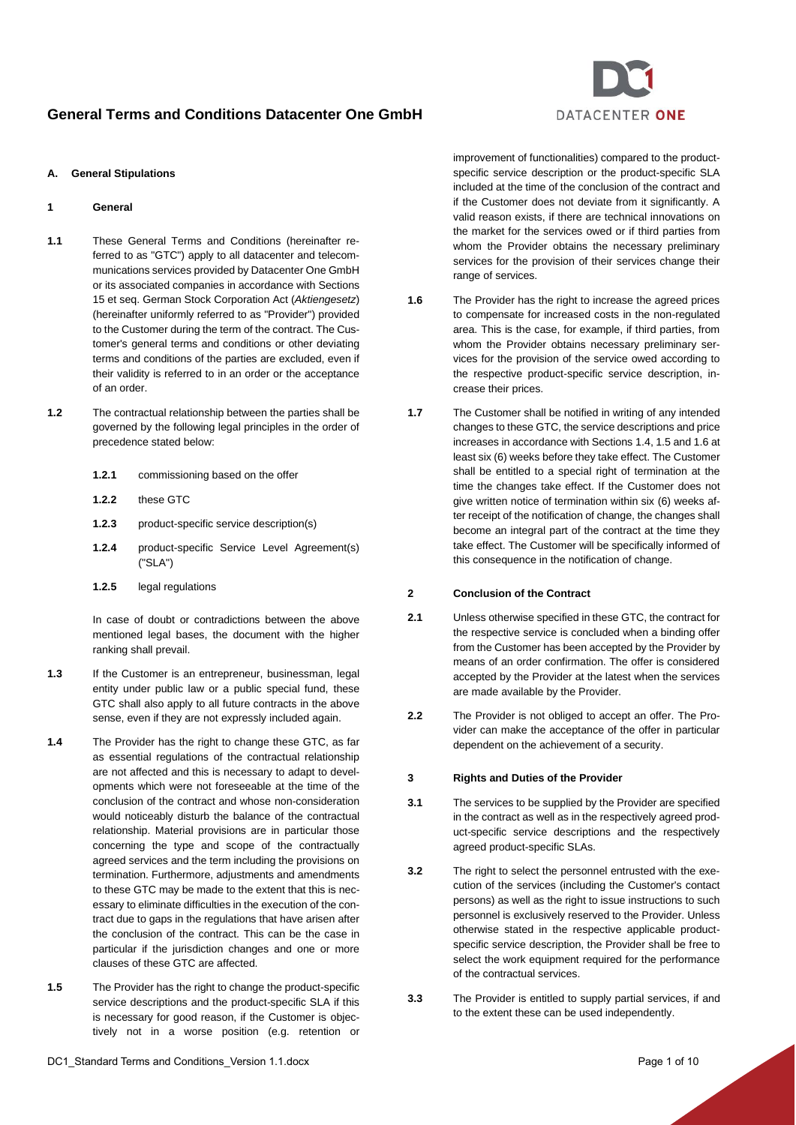

## <span id="page-0-4"></span>**A. General Stipulations**

## **1 General**

- **1.1** These General Terms and Conditions (hereinafter referred to as "GTC") apply to all datacenter and telecommunications services provided by Datacenter One GmbH or its associated companies in accordance with Sections 15 et seq. German Stock Corporation Act (*Aktiengesetz*) (hereinafter uniformly referred to as "Provider") provided to the Customer during the term of the contract. The Customer's general terms and conditions or other deviating terms and conditions of the parties are excluded, even if their validity is referred to in an order or the acceptance of an order.
- <span id="page-0-3"></span>**1.2** The contractual relationship between the parties shall be governed by the following legal principles in the order of precedence stated below:
	- **1.2.1** commissioning based on the offer
	- **1.2.2** these GTC
	- **1.2.3** product-specific service description(s)
	- **1.2.4** product-specific Service Level Agreement(s) ("SLA")
	- **1.2.5** legal regulations

In case of doubt or contradictions between the above mentioned legal bases, the document with the higher ranking shall prevail.

- **1.3** If the Customer is an entrepreneur, businessman, legal entity under public law or a public special fund, these GTC shall also apply to all future contracts in the above sense, even if they are not expressly included again.
- <span id="page-0-0"></span>**1.4** The Provider has the right to change these GTC, as far as essential regulations of the contractual relationship are not affected and this is necessary to adapt to developments which were not foreseeable at the time of the conclusion of the contract and whose non-consideration would noticeably disturb the balance of the contractual relationship. Material provisions are in particular those concerning the type and scope of the contractually agreed services and the term including the provisions on termination. Furthermore, adjustments and amendments to these GTC may be made to the extent that this is necessary to eliminate difficulties in the execution of the contract due to gaps in the regulations that have arisen after the conclusion of the contract. This can be the case in particular if the jurisdiction changes and one or more clauses of these GTC are affected.
- <span id="page-0-1"></span>**1.5** The Provider has the right to change the product-specific service descriptions and the product-specific SLA if this is necessary for good reason, if the Customer is objectively not in a worse position (e.g. retention or

improvement of functionalities) compared to the productspecific service description or the product-specific SLA included at the time of the conclusion of the contract and if the Customer does not deviate from it significantly. A valid reason exists, if there are technical innovations on the market for the services owed or if third parties from whom the Provider obtains the necessary preliminary services for the provision of their services change their range of services.

- <span id="page-0-2"></span>**1.6** The Provider has the right to increase the agreed prices to compensate for increased costs in the non-regulated area. This is the case, for example, if third parties, from whom the Provider obtains necessary preliminary services for the provision of the service owed according to the respective product-specific service description, increase their prices.
- **1.7** The Customer shall be notified in writing of any intended changes to these GTC, the service descriptions and price increases in accordance with Section[s 1.4,](#page-0-0) [1.5](#page-0-1) and [1.6](#page-0-2) at least six (6) weeks before they take effect. The Customer shall be entitled to a special right of termination at the time the changes take effect. If the Customer does not give written notice of termination within six (6) weeks after receipt of the notification of change, the changes shall become an integral part of the contract at the time they take effect. The Customer will be specifically informed of this consequence in the notification of change.

## **2 Conclusion of the Contract**

- **2.1** Unless otherwise specified in these GTC, the contract for the respective service is concluded when a binding offer from the Customer has been accepted by the Provider by means of an order confirmation. The offer is considered accepted by the Provider at the latest when the services are made available by the Provider.
- **2.2** The Provider is not obliged to accept an offer. The Provider can make the acceptance of the offer in particular dependent on the achievement of a security.

#### **3 Rights and Duties of the Provider**

- **3.1** The services to be supplied by the Provider are specified in the contract as well as in the respectively agreed product-specific service descriptions and the respectively agreed product-specific SLAs.
- **3.2** The right to select the personnel entrusted with the execution of the services (including the Customer's contact persons) as well as the right to issue instructions to such personnel is exclusively reserved to the Provider. Unless otherwise stated in the respective applicable productspecific service description, the Provider shall be free to select the work equipment required for the performance of the contractual services.
- **3.3** The Provider is entitled to supply partial services, if and to the extent these can be used independently.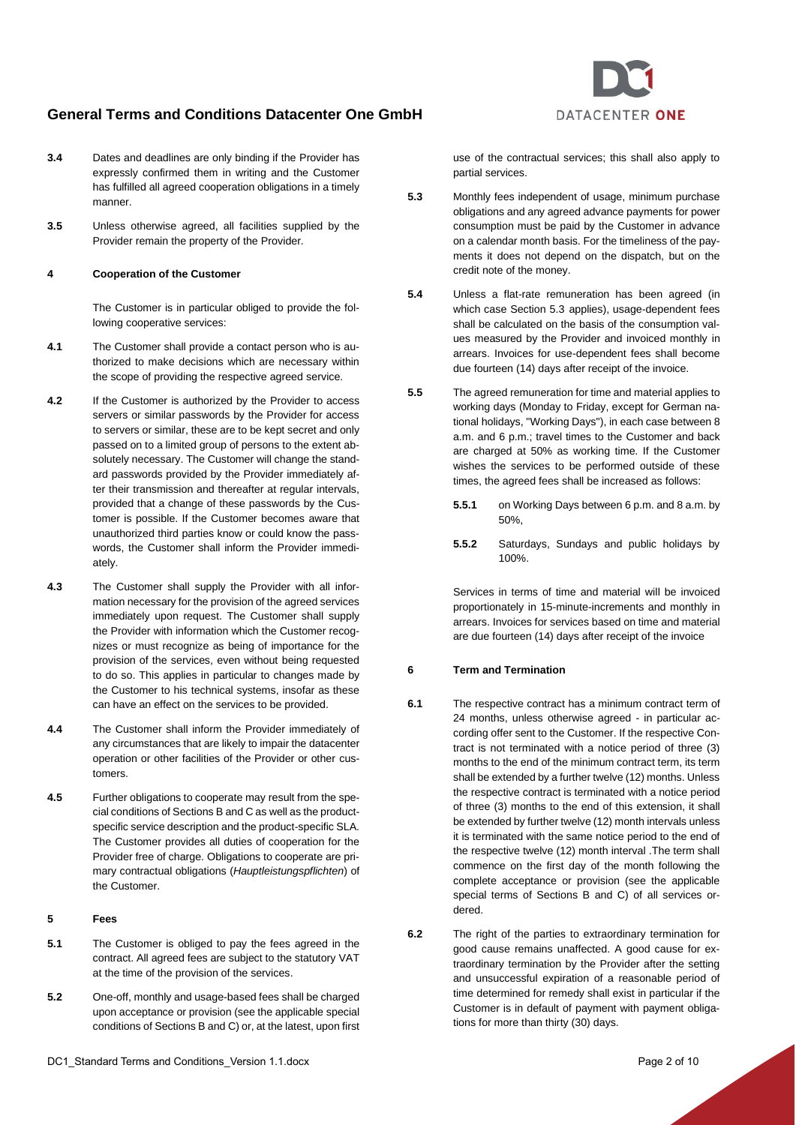

**3.5** Unless otherwise agreed, all facilities supplied by the Provider remain the property of the Provider.

### **4 Cooperation of the Customer**

The Customer is in particular obliged to provide the following cooperative services:

- **4.1** The Customer shall provide a contact person who is authorized to make decisions which are necessary within the scope of providing the respective agreed service.
- **4.2** If the Customer is authorized by the Provider to access servers or similar passwords by the Provider for access to servers or similar, these are to be kept secret and only passed on to a limited group of persons to the extent absolutely necessary. The Customer will change the standard passwords provided by the Provider immediately after their transmission and thereafter at regular intervals, provided that a change of these passwords by the Customer is possible. If the Customer becomes aware that unauthorized third parties know or could know the passwords, the Customer shall inform the Provider immediately.
- **4.3** The Customer shall supply the Provider with all information necessary for the provision of the agreed services immediately upon request. The Customer shall supply the Provider with information which the Customer recognizes or must recognize as being of importance for the provision of the services, even without being requested to do so. This applies in particular to changes made by the Customer to his technical systems, insofar as these can have an effect on the services to be provided.
- **4.4** The Customer shall inform the Provider immediately of any circumstances that are likely to impair the datacenter operation or other facilities of the Provider or other customers.
- **4.5** Further obligations to cooperate may result from the special conditions of Section[s B](#page-5-0) an[d C](#page-8-0) as well as the productspecific service description and the product-specific SLA. The Customer provides all duties of cooperation for the Provider free of charge. Obligations to cooperate are primary contractual obligations (*Hauptleistungspflichten*) of the Customer.

## **5 Fees**

- **5.1** The Customer is obliged to pay the fees agreed in the contract. All agreed fees are subject to the statutory VAT at the time of the provision of the services.
- **5.2** One-off, monthly and usage-based fees shall be charged upon acceptance or provision (see the applicable special conditions of Section[s B](#page-5-0) an[d C\)](#page-8-0) or, at the latest, upon first

use of the contractual services; this shall also apply to partial services.

DATACENTER ONE

- <span id="page-1-0"></span>**5.3** Monthly fees independent of usage, minimum purchase obligations and any agreed advance payments for power consumption must be paid by the Customer in advance on a calendar month basis. For the timeliness of the payments it does not depend on the dispatch, but on the credit note of the money.
- **5.4** Unless a flat-rate remuneration has been agreed (in which case Section [5.3](#page-1-0) applies), usage-dependent fees shall be calculated on the basis of the consumption values measured by the Provider and invoiced monthly in arrears. Invoices for use-dependent fees shall become due fourteen (14) days after receipt of the invoice.
- **5.5** The agreed remuneration for time and material applies to working days (Monday to Friday, except for German national holidays, "Working Days"), in each case between 8 a.m. and 6 p.m.; travel times to the Customer and back are charged at 50% as working time. If the Customer wishes the services to be performed outside of these times, the agreed fees shall be increased as follows:
	- **5.5.1** on Working Days between 6 p.m. and 8 a.m. by 50%,
	- **5.5.2** Saturdays, Sundays and public holidays by 100%.

Services in terms of time and material will be invoiced proportionately in 15-minute-increments and monthly in arrears. Invoices for services based on time and material are due fourteen (14) days after receipt of the invoice

#### **6 Term and Termination**

- **6.1** The respective contract has a minimum contract term of 24 months, unless otherwise agreed - in particular according offer sent to the Customer. If the respective Contract is not terminated with a notice period of three (3) months to the end of the minimum contract term, its term shall be extended by a further twelve (12) months. Unless the respective contract is terminated with a notice period of three (3) months to the end of this extension, it shall be extended by further twelve (12) month intervals unless it is terminated with the same notice period to the end of the respective twelve (12) month interval .The term shall commence on the first day of the month following the complete acceptance or provision (see the applicable special terms of Sections [B](#page-5-0) and [C\)](#page-8-0) of all services ordered.
- **6.2** The right of the parties to extraordinary termination for good cause remains unaffected. A good cause for extraordinary termination by the Provider after the setting and unsuccessful expiration of a reasonable period of time determined for remedy shall exist in particular if the Customer is in default of payment with payment obligations for more than thirty (30) days.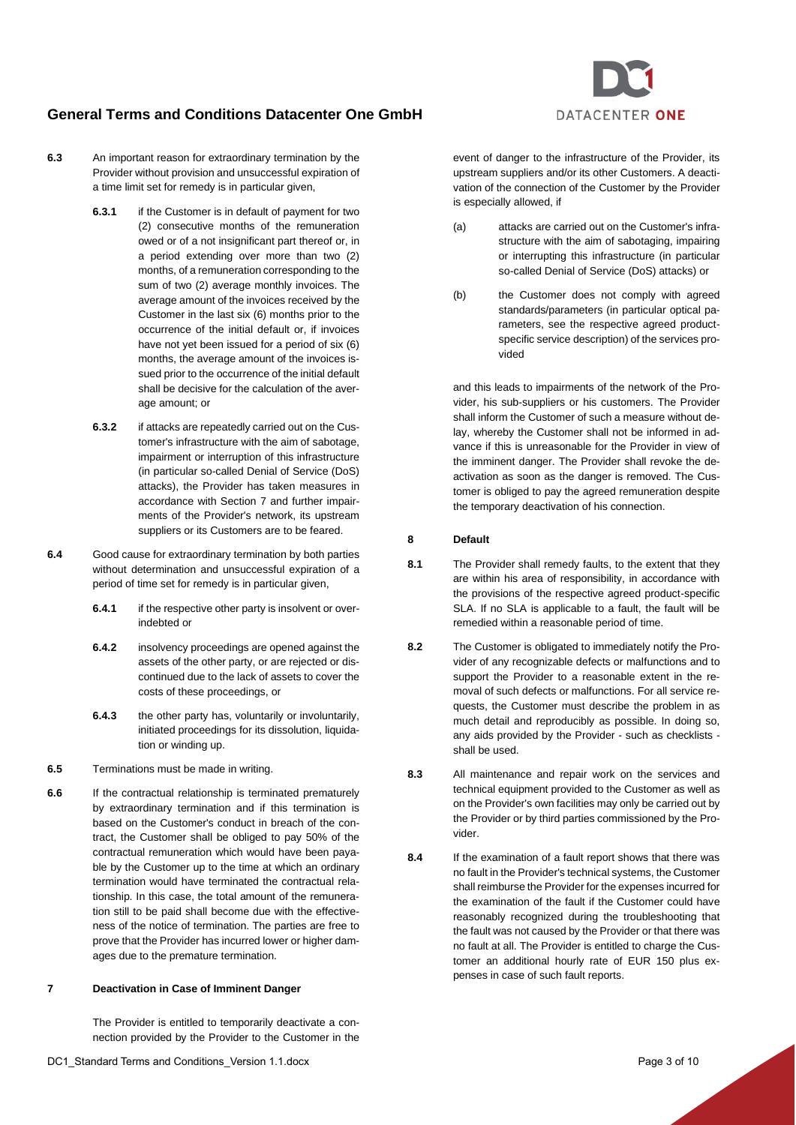

**6.3** An important reason for extraordinary termination by the Provider without provision and unsuccessful expiration of a time limit set for remedy is in particular given,

- **6.3.1** if the Customer is in default of payment for two (2) consecutive months of the remuneration owed or of a not insignificant part thereof or, in a period extending over more than two (2) months, of a remuneration corresponding to the sum of two (2) average monthly invoices. The average amount of the invoices received by the Customer in the last six (6) months prior to the occurrence of the initial default or, if invoices have not yet been issued for a period of six (6) months, the average amount of the invoices issued prior to the occurrence of the initial default shall be decisive for the calculation of the average amount; or
- **6.3.2** if attacks are repeatedly carried out on the Customer's infrastructure with the aim of sabotage, impairment or interruption of this infrastructure (in particular so-called Denial of Service (DoS) attacks), the Provider has taken measures in accordance with Section [7](#page-2-0) and further impairments of the Provider's network, its upstream suppliers or its Customers are to be feared.
- **6.4** Good cause for extraordinary termination by both parties without determination and unsuccessful expiration of a period of time set for remedy is in particular given,
	- **6.4.1** if the respective other party is insolvent or overindebted or
	- **6.4.2** insolvency proceedings are opened against the assets of the other party, or are rejected or discontinued due to the lack of assets to cover the costs of these proceedings, or
	- **6.4.3** the other party has, voluntarily or involuntarily, initiated proceedings for its dissolution, liquidation or winding up.
- **6.5** Terminations must be made in writing.
- **6.6** If the contractual relationship is terminated prematurely by extraordinary termination and if this termination is based on the Customer's conduct in breach of the contract, the Customer shall be obliged to pay 50% of the contractual remuneration which would have been payable by the Customer up to the time at which an ordinary termination would have terminated the contractual relationship. In this case, the total amount of the remuneration still to be paid shall become due with the effectiveness of the notice of termination. The parties are free to prove that the Provider has incurred lower or higher damages due to the premature termination.

## <span id="page-2-0"></span>**7 Deactivation in Case of Imminent Danger**

The Provider is entitled to temporarily deactivate a connection provided by the Provider to the Customer in the event of danger to the infrastructure of the Provider, its upstream suppliers and/or its other Customers. A deactivation of the connection of the Customer by the Provider is especially allowed, if

- (a) attacks are carried out on the Customer's infrastructure with the aim of sabotaging, impairing or interrupting this infrastructure (in particular so-called Denial of Service (DoS) attacks) or
- (b) the Customer does not comply with agreed standards/parameters (in particular optical parameters, see the respective agreed productspecific service description) of the services provided

and this leads to impairments of the network of the Provider, his sub-suppliers or his customers. The Provider shall inform the Customer of such a measure without delay, whereby the Customer shall not be informed in advance if this is unreasonable for the Provider in view of the imminent danger. The Provider shall revoke the deactivation as soon as the danger is removed. The Customer is obliged to pay the agreed remuneration despite the temporary deactivation of his connection.

#### **8 Default**

- **8.1** The Provider shall remedy faults, to the extent that they are within his area of responsibility, in accordance with the provisions of the respective agreed product-specific SLA. If no SLA is applicable to a fault, the fault will be remedied within a reasonable period of time.
- **8.2** The Customer is obligated to immediately notify the Provider of any recognizable defects or malfunctions and to support the Provider to a reasonable extent in the removal of such defects or malfunctions. For all service requests, the Customer must describe the problem in as much detail and reproducibly as possible. In doing so, any aids provided by the Provider - such as checklists shall be used.
- **8.3** All maintenance and repair work on the services and technical equipment provided to the Customer as well as on the Provider's own facilities may only be carried out by the Provider or by third parties commissioned by the Provider.
- **8.4** If the examination of a fault report shows that there was no fault in the Provider's technical systems, the Customer shall reimburse the Provider for the expenses incurred for the examination of the fault if the Customer could have reasonably recognized during the troubleshooting that the fault was not caused by the Provider or that there was no fault at all. The Provider is entitled to charge the Customer an additional hourly rate of EUR 150 plus expenses in case of such fault reports.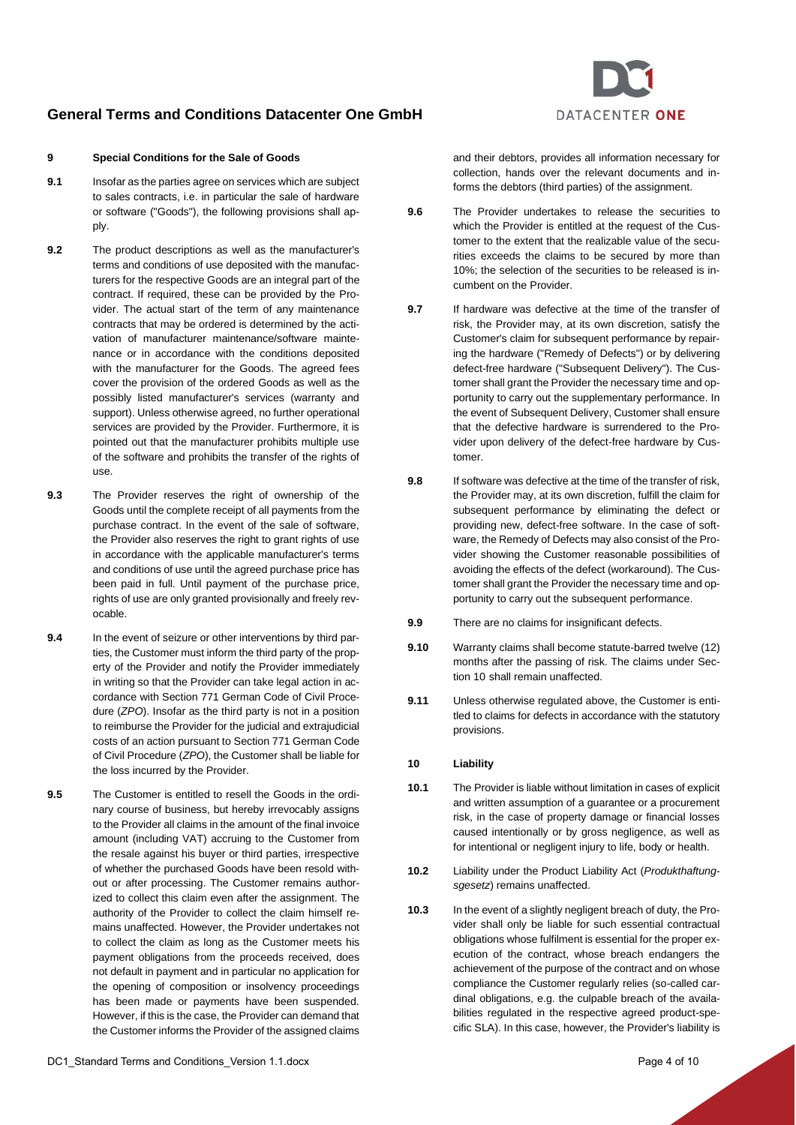### **9 Special Conditions for the Sale of Goods**

- **9.1** Insofar as the parties agree on services which are subject to sales contracts, i.e. in particular the sale of hardware or software ("Goods"), the following provisions shall apply.
- **9.2** The product descriptions as well as the manufacturer's terms and conditions of use deposited with the manufacturers for the respective Goods are an integral part of the contract. If required, these can be provided by the Provider. The actual start of the term of any maintenance contracts that may be ordered is determined by the activation of manufacturer maintenance/software maintenance or in accordance with the conditions deposited with the manufacturer for the Goods. The agreed fees cover the provision of the ordered Goods as well as the possibly listed manufacturer's services (warranty and support). Unless otherwise agreed, no further operational services are provided by the Provider. Furthermore, it is pointed out that the manufacturer prohibits multiple use of the software and prohibits the transfer of the rights of use.
- **9.3** The Provider reserves the right of ownership of the Goods until the complete receipt of all payments from the purchase contract. In the event of the sale of software, the Provider also reserves the right to grant rights of use in accordance with the applicable manufacturer's terms and conditions of use until the agreed purchase price has been paid in full. Until payment of the purchase price, rights of use are only granted provisionally and freely revocable.
- **9.4** In the event of seizure or other interventions by third parties, the Customer must inform the third party of the property of the Provider and notify the Provider immediately in writing so that the Provider can take legal action in accordance with Section 771 German Code of Civil Procedure (*ZPO*). Insofar as the third party is not in a position to reimburse the Provider for the judicial and extrajudicial costs of an action pursuant to Section 771 German Code of Civil Procedure (*ZPO*), the Customer shall be liable for the loss incurred by the Provider.
- **9.5** The Customer is entitled to resell the Goods in the ordinary course of business, but hereby irrevocably assigns to the Provider all claims in the amount of the final invoice amount (including VAT) accruing to the Customer from the resale against his buyer or third parties, irrespective of whether the purchased Goods have been resold without or after processing. The Customer remains authorized to collect this claim even after the assignment. The authority of the Provider to collect the claim himself remains unaffected. However, the Provider undertakes not to collect the claim as long as the Customer meets his payment obligations from the proceeds received, does not default in payment and in particular no application for the opening of composition or insolvency proceedings has been made or payments have been suspended. However, if this is the case, the Provider can demand that the Customer informs the Provider of the assigned claims

DC1 Standard Terms and Conditions Version 1.1.docx **Page 4 of 10** Page 4 of 10



- **9.6** The Provider undertakes to release the securities to which the Provider is entitled at the request of the Customer to the extent that the realizable value of the securities exceeds the claims to be secured by more than 10%; the selection of the securities to be released is incumbent on the Provider.
- **9.7** If hardware was defective at the time of the transfer of risk, the Provider may, at its own discretion, satisfy the Customer's claim for subsequent performance by repairing the hardware ("Remedy of Defects") or by delivering defect-free hardware ("Subsequent Delivery"). The Customer shall grant the Provider the necessary time and opportunity to carry out the supplementary performance. In the event of Subsequent Delivery, Customer shall ensure that the defective hardware is surrendered to the Provider upon delivery of the defect-free hardware by Customer.
- **9.8** If software was defective at the time of the transfer of risk, the Provider may, at its own discretion, fulfill the claim for subsequent performance by eliminating the defect or providing new, defect-free software. In the case of software, the Remedy of Defects may also consist of the Provider showing the Customer reasonable possibilities of avoiding the effects of the defect (workaround). The Customer shall grant the Provider the necessary time and opportunity to carry out the subsequent performance.
- **9.9** There are no claims for insignificant defects.
- **9.10** Warranty claims shall become statute-barred twelve (12) months after the passing of risk. The claims under Section [10](#page-3-0) shall remain unaffected.
- **9.11** Unless otherwise regulated above, the Customer is entitled to claims for defects in accordance with the statutory provisions.

#### <span id="page-3-0"></span>**10 Liability**

- <span id="page-3-2"></span>**10.1** The Provider is liable without limitation in cases of explicit and written assumption of a guarantee or a procurement risk, in the case of property damage or financial losses caused intentionally or by gross negligence, as well as for intentional or negligent injury to life, body or health.
- **10.2** Liability under the Product Liability Act (*Produkthaftungsgesetz*) remains unaffected.
- <span id="page-3-1"></span>**10.3** In the event of a slightly negligent breach of duty, the Provider shall only be liable for such essential contractual obligations whose fulfilment is essential for the proper execution of the contract, whose breach endangers the achievement of the purpose of the contract and on whose compliance the Customer regularly relies (so-called cardinal obligations, e.g. the culpable breach of the availabilities regulated in the respective agreed product-specific SLA). In this case, however, the Provider's liability is

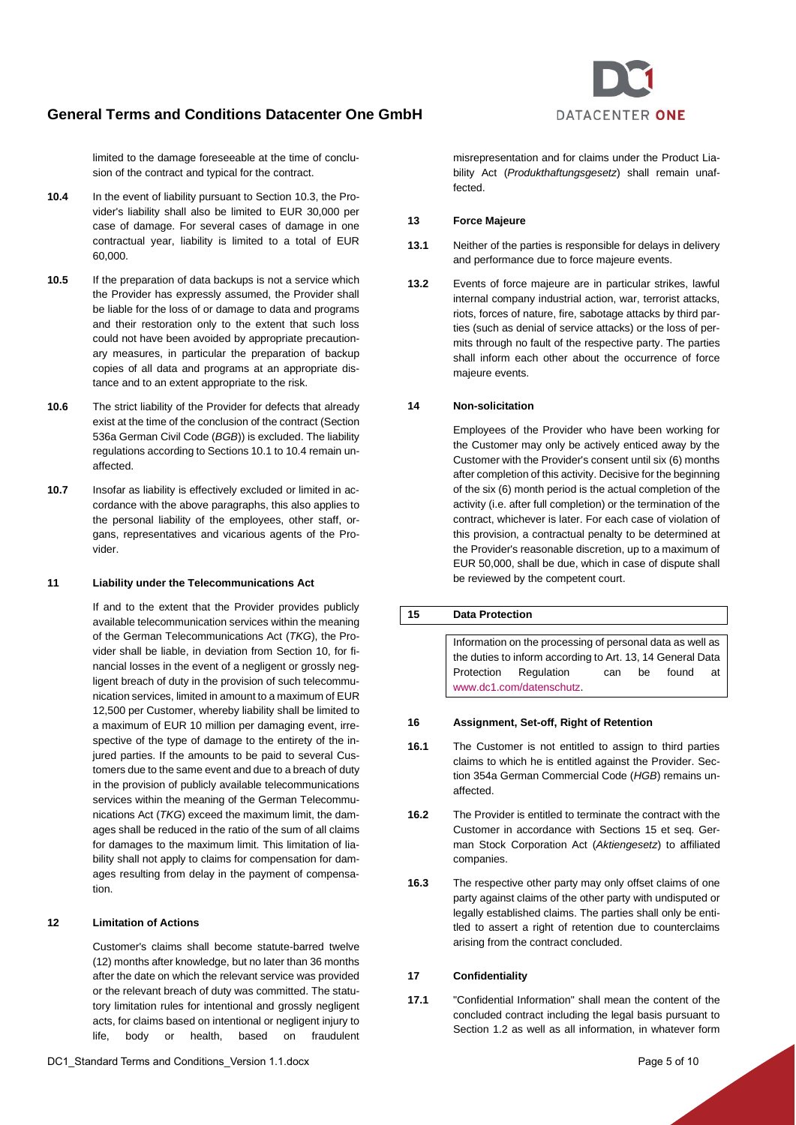

limited to the damage foreseeable at the time of conclusion of the contract and typical for the contract.

- <span id="page-4-0"></span>**10.4** In the event of liability pursuant to Sectio[n 10.3,](#page-3-1) the Provider's liability shall also be limited to EUR 30,000 per case of damage. For several cases of damage in one contractual year, liability is limited to a total of EUR 60,000.
- **10.5** If the preparation of data backups is not a service which the Provider has expressly assumed, the Provider shall be liable for the loss of or damage to data and programs and their restoration only to the extent that such loss could not have been avoided by appropriate precautionary measures, in particular the preparation of backup copies of all data and programs at an appropriate distance and to an extent appropriate to the risk.
- **10.6** The strict liability of the Provider for defects that already exist at the time of the conclusion of the contract (Section 536a German Civil Code (*BGB*)) is excluded. The liability regulations according to Sections [10.1](#page-3-2) to [10.4](#page-4-0) remain unaffected.
- **10.7** Insofar as liability is effectively excluded or limited in accordance with the above paragraphs, this also applies to the personal liability of the employees, other staff, organs, representatives and vicarious agents of the Provider.

#### **11 Liability under the Telecommunications Act**

If and to the extent that the Provider provides publicly available telecommunication services within the meaning of the German Telecommunications Act (*TKG*), the Provider shall be liable, in deviation from Section [10,](#page-3-0) for financial losses in the event of a negligent or grossly negligent breach of duty in the provision of such telecommunication services, limited in amount to a maximum of EUR 12,500 per Customer, whereby liability shall be limited to a maximum of EUR 10 million per damaging event, irrespective of the type of damage to the entirety of the injured parties. If the amounts to be paid to several Customers due to the same event and due to a breach of duty in the provision of publicly available telecommunications services within the meaning of the German Telecommunications Act (*TKG*) exceed the maximum limit, the damages shall be reduced in the ratio of the sum of all claims for damages to the maximum limit. This limitation of liability shall not apply to claims for compensation for damages resulting from delay in the payment of compensation.

#### **12 Limitation of Actions**

Customer's claims shall become statute-barred twelve (12) months after knowledge, but no later than 36 months after the date on which the relevant service was provided or the relevant breach of duty was committed. The statutory limitation rules for intentional and grossly negligent acts, for claims based on intentional or negligent injury to life, body or health, based on fraudulent

misrepresentation and for claims under the Product Liability Act (*Produkthaftungsgesetz*) shall remain unaffected.

## **13 Force Majeure**

- **13.1** Neither of the parties is responsible for delays in delivery and performance due to force majeure events.
- **13.2** Events of force majeure are in particular strikes, lawful internal company industrial action, war, terrorist attacks, riots, forces of nature, fire, sabotage attacks by third parties (such as denial of service attacks) or the loss of permits through no fault of the respective party. The parties shall inform each other about the occurrence of force majeure events.

### **14 Non-solicitation**

Employees of the Provider who have been working for the Customer may only be actively enticed away by the Customer with the Provider's consent until six (6) months after completion of this activity. Decisive for the beginning of the six (6) month period is the actual completion of the activity (i.e. after full completion) or the termination of the contract, whichever is later. For each case of violation of this provision, a contractual penalty to be determined at the Provider's reasonable discretion, up to a maximum of EUR 50,000, shall be due, which in case of dispute shall be reviewed by the competent court.

**15 Data Protection** Information on the processing of personal data as well as the duties to inform according to Art. 13, 14 General Data Protection Regulation can be found at [www.dc1.com/datenschutz.](http://www.dc1.com/datenschutz)

#### **16 Assignment, Set-off, Right of Retention**

- **16.1** The Customer is not entitled to assign to third parties claims to which he is entitled against the Provider. Section 354a German Commercial Code (*HGB*) remains unaffected.
- **16.2** The Provider is entitled to terminate the contract with the Customer in accordance with Sections 15 et seq. German Stock Corporation Act (*Aktiengesetz*) to affiliated companies.
- **16.3** The respective other party may only offset claims of one party against claims of the other party with undisputed or legally established claims. The parties shall only be entitled to assert a right of retention due to counterclaims arising from the contract concluded.

### **17 Confidentiality**

**17.1** "Confidential Information" shall mean the content of the concluded contract including the legal basis pursuant to Section [1.2](#page-0-3) as well as all information, in whatever form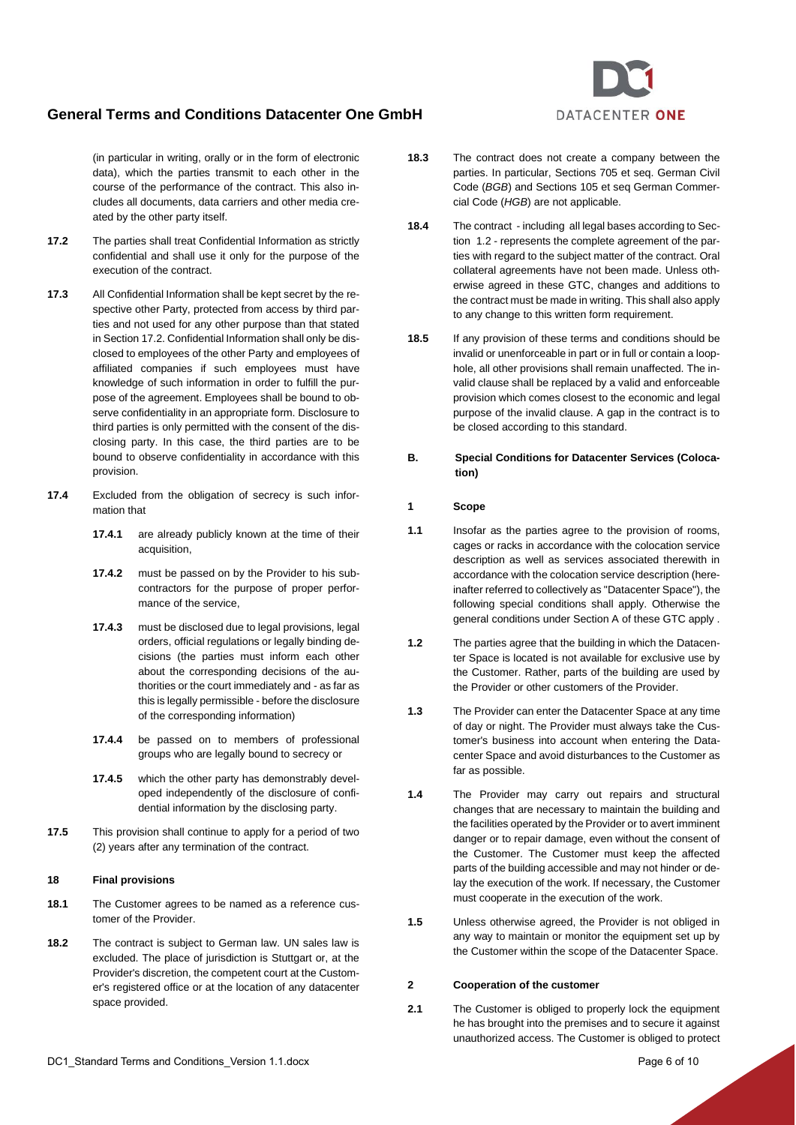(in particular in writing, orally or in the form of electronic data), which the parties transmit to each other in the course of the performance of the contract. This also includes all documents, data carriers and other media created by the other party itself.

- <span id="page-5-1"></span>**17.2** The parties shall treat Confidential Information as strictly confidential and shall use it only for the purpose of the execution of the contract.
- **17.3** All Confidential Information shall be kept secret by the respective other Party, protected from access by third parties and not used for any other purpose than that stated in Sectio[n 17.2.](#page-5-1) Confidential Information shall only be disclosed to employees of the other Party and employees of affiliated companies if such employees must have knowledge of such information in order to fulfill the purpose of the agreement. Employees shall be bound to observe confidentiality in an appropriate form. Disclosure to third parties is only permitted with the consent of the disclosing party. In this case, the third parties are to be bound to observe confidentiality in accordance with this provision.
- **17.4** Excluded from the obligation of secrecy is such information that
	- **17.4.1** are already publicly known at the time of their acquisition,
	- **17.4.2** must be passed on by the Provider to his subcontractors for the purpose of proper performance of the service,
	- **17.4.3** must be disclosed due to legal provisions, legal orders, official regulations or legally binding decisions (the parties must inform each other about the corresponding decisions of the authorities or the court immediately and - as far as this is legally permissible - before the disclosure of the corresponding information)
	- **17.4.4** be passed on to members of professional groups who are legally bound to secrecy or
	- **17.4.5** which the other party has demonstrably developed independently of the disclosure of confidential information by the disclosing party.
- **17.5** This provision shall continue to apply for a period of two (2) years after any termination of the contract.

#### **18 Final provisions**

- **18.1** The Customer agrees to be named as a reference customer of the Provider.
- **18.2** The contract is subject to German law. UN sales law is excluded. The place of jurisdiction is Stuttgart or, at the Provider's discretion, the competent court at the Customer's registered office or at the location of any datacenter space provided.
- **18.3** The contract does not create a company between the parties. In particular, Sections 705 et seq. German Civil Code (*BGB*) and Sections 105 et seq German Commercial Code (*HGB*) are not applicable.
- **18.4** The contract including all legal bases according to Section [1.2](#page-0-3) - represents the complete agreement of the parties with regard to the subject matter of the contract. Oral collateral agreements have not been made. Unless otherwise agreed in these GTC, changes and additions to the contract must be made in writing. This shall also apply to any change to this written form requirement.
- **18.5** If any provision of these terms and conditions should be invalid or unenforceable in part or in full or contain a loophole, all other provisions shall remain unaffected. The invalid clause shall be replaced by a valid and enforceable provision which comes closest to the economic and legal purpose of the invalid clause. A gap in the contract is to be closed according to this standard.
- <span id="page-5-0"></span>**B. Special Conditions for Datacenter Services (Colocation)**

### **1 Scope**

- **1.1** Insofar as the parties agree to the provision of rooms, cages or racks in accordance with the colocation service description as well as services associated therewith in accordance with the colocation service description (hereinafter referred to collectively as "Datacenter Space"), the following special conditions shall apply. Otherwise the general conditions under Section [A](#page-0-4) of these GTC apply .
- **1.2** The parties agree that the building in which the Datacenter Space is located is not available for exclusive use by the Customer. Rather, parts of the building are used by the Provider or other customers of the Provider.
- **1.3** The Provider can enter the Datacenter Space at any time of day or night. The Provider must always take the Customer's business into account when entering the Datacenter Space and avoid disturbances to the Customer as far as possible.
- **1.4** The Provider may carry out repairs and structural changes that are necessary to maintain the building and the facilities operated by the Provider or to avert imminent danger or to repair damage, even without the consent of the Customer. The Customer must keep the affected parts of the building accessible and may not hinder or delay the execution of the work. If necessary, the Customer must cooperate in the execution of the work.
- **1.5** Unless otherwise agreed, the Provider is not obliged in any way to maintain or monitor the equipment set up by the Customer within the scope of the Datacenter Space.

#### **2 Cooperation of the customer**

**2.1** The Customer is obliged to properly lock the equipment he has brought into the premises and to secure it against unauthorized access. The Customer is obliged to protect

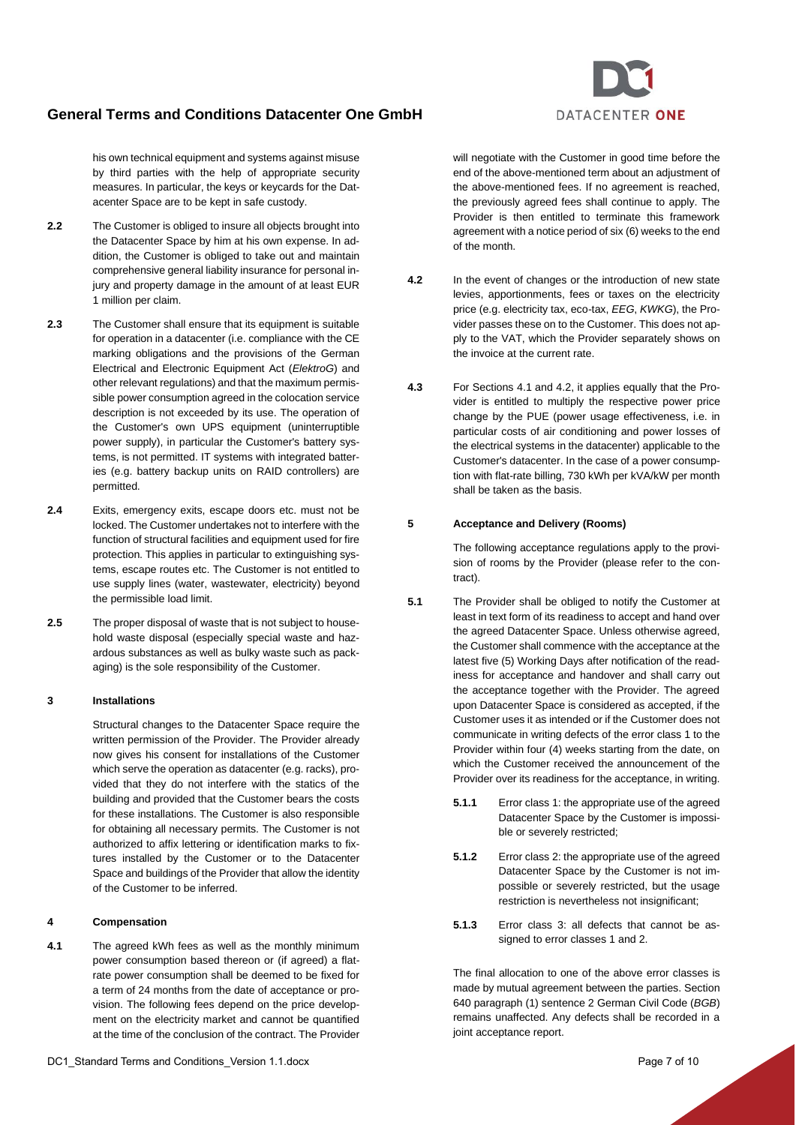his own technical equipment and systems against misuse by third parties with the help of appropriate security measures. In particular, the keys or keycards for the Datacenter Space are to be kept in safe custody.

- **2.2** The Customer is obliged to insure all objects brought into the Datacenter Space by him at his own expense. In addition, the Customer is obliged to take out and maintain comprehensive general liability insurance for personal injury and property damage in the amount of at least EUR 1 million per claim.
- **2.3** The Customer shall ensure that its equipment is suitable for operation in a datacenter (i.e. compliance with the CE marking obligations and the provisions of the German Electrical and Electronic Equipment Act (*ElektroG*) and other relevant regulations) and that the maximum permissible power consumption agreed in the colocation service description is not exceeded by its use. The operation of the Customer's own UPS equipment (uninterruptible power supply), in particular the Customer's battery systems, is not permitted. IT systems with integrated batteries (e.g. battery backup units on RAID controllers) are permitted.
- **2.4** Exits, emergency exits, escape doors etc. must not be locked. The Customer undertakes not to interfere with the function of structural facilities and equipment used for fire protection. This applies in particular to extinguishing systems, escape routes etc. The Customer is not entitled to use supply lines (water, wastewater, electricity) beyond the permissible load limit.
- **2.5** The proper disposal of waste that is not subject to household waste disposal (especially special waste and hazardous substances as well as bulky waste such as packaging) is the sole responsibility of the Customer.

## **3 Installations**

Structural changes to the Datacenter Space require the written permission of the Provider. The Provider already now gives his consent for installations of the Customer which serve the operation as datacenter (e.g. racks), provided that they do not interfere with the statics of the building and provided that the Customer bears the costs for these installations. The Customer is also responsible for obtaining all necessary permits. The Customer is not authorized to affix lettering or identification marks to fixtures installed by the Customer or to the Datacenter Space and buildings of the Provider that allow the identity of the Customer to be inferred.

#### **4 Compensation**

<span id="page-6-0"></span>**4.1** The agreed kWh fees as well as the monthly minimum power consumption based thereon or (if agreed) a flatrate power consumption shall be deemed to be fixed for a term of 24 months from the date of acceptance or provision. The following fees depend on the price development on the electricity market and cannot be quantified at the time of the conclusion of the contract. The Provider

will negotiate with the Customer in good time before the end of the above-mentioned term about an adjustment of the above-mentioned fees. If no agreement is reached, the previously agreed fees shall continue to apply. The Provider is then entitled to terminate this framework agreement with a notice period of six (6) weeks to the end of the month.

- <span id="page-6-1"></span>**4.2** In the event of changes or the introduction of new state levies, apportionments, fees or taxes on the electricity price (e.g. electricity tax, eco-tax, *EEG*, *KWKG*), the Provider passes these on to the Customer. This does not apply to the VAT, which the Provider separately shows on the invoice at the current rate.
- **4.3** For Sections [4.1](#page-6-0) and [4.2,](#page-6-1) it applies equally that the Provider is entitled to multiply the respective power price change by the PUE (power usage effectiveness, i.e. in particular costs of air conditioning and power losses of the electrical systems in the datacenter) applicable to the Customer's datacenter. In the case of a power consumption with flat-rate billing, 730 kWh per kVA/kW per month shall be taken as the basis.

## **5 Acceptance and Delivery (Rooms)**

The following acceptance regulations apply to the provision of rooms by the Provider (please refer to the contract).

- **5.1** The Provider shall be obliged to notify the Customer at least in text form of its readiness to accept and hand over the agreed Datacenter Space. Unless otherwise agreed, the Customer shall commence with the acceptance at the latest five (5) Working Days after notification of the readiness for acceptance and handover and shall carry out the acceptance together with the Provider. The agreed upon Datacenter Space is considered as accepted, if the Customer uses it as intended or if the Customer does not communicate in writing defects of the error class 1 to the Provider within four (4) weeks starting from the date, on which the Customer received the announcement of the Provider over its readiness for the acceptance, in writing.
	- **5.1.1** Error class 1: the appropriate use of the agreed Datacenter Space by the Customer is impossible or severely restricted;
	- **5.1.2** Error class 2: the appropriate use of the agreed Datacenter Space by the Customer is not impossible or severely restricted, but the usage restriction is nevertheless not insignificant;
	- **5.1.3** Error class 3: all defects that cannot be assigned to error classes 1 and 2.

The final allocation to one of the above error classes is made by mutual agreement between the parties. Section 640 paragraph (1) sentence 2 German Civil Code (*BGB*) remains unaffected. Any defects shall be recorded in a joint acceptance report.

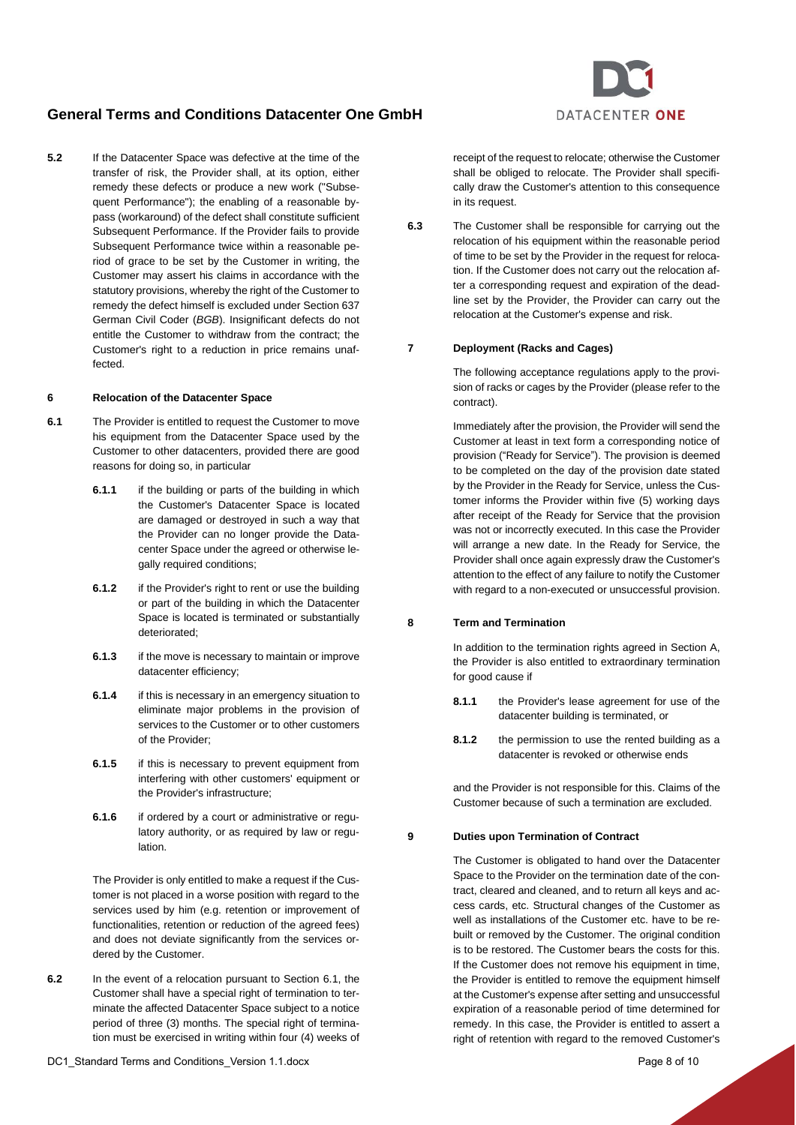**5.2** If the Datacenter Space was defective at the time of the transfer of risk, the Provider shall, at its option, either remedy these defects or produce a new work ("Subsequent Performance"); the enabling of a reasonable bypass (workaround) of the defect shall constitute sufficient Subsequent Performance. If the Provider fails to provide Subsequent Performance twice within a reasonable period of grace to be set by the Customer in writing, the Customer may assert his claims in accordance with the statutory provisions, whereby the right of the Customer to remedy the defect himself is excluded under Section 637 German Civil Coder (*BGB*). Insignificant defects do not entitle the Customer to withdraw from the contract; the Customer's right to a reduction in price remains unaffected.

#### **6 Relocation of the Datacenter Space**

- <span id="page-7-0"></span>**6.1** The Provider is entitled to request the Customer to move his equipment from the Datacenter Space used by the Customer to other datacenters, provided there are good reasons for doing so, in particular
	- **6.1.1** if the building or parts of the building in which the Customer's Datacenter Space is located are damaged or destroyed in such a way that the Provider can no longer provide the Datacenter Space under the agreed or otherwise legally required conditions;
	- **6.1.2** if the Provider's right to rent or use the building or part of the building in which the Datacenter Space is located is terminated or substantially deteriorated;
	- **6.1.3** if the move is necessary to maintain or improve datacenter efficiency;
	- **6.1.4** if this is necessary in an emergency situation to eliminate major problems in the provision of services to the Customer or to other customers of the Provider;
	- **6.1.5** if this is necessary to prevent equipment from interfering with other customers' equipment or the Provider's infrastructure;
	- **6.1.6** if ordered by a court or administrative or regulatory authority, or as required by law or regulation.

The Provider is only entitled to make a request if the Customer is not placed in a worse position with regard to the services used by him (e.g. retention or improvement of functionalities, retention or reduction of the agreed fees) and does not deviate significantly from the services ordered by the Customer.

**6.2** In the event of a relocation pursuant to Section [6.1,](#page-7-0) the Customer shall have a special right of termination to terminate the affected Datacenter Space subject to a notice period of three (3) months. The special right of termination must be exercised in writing within four (4) weeks of

receipt of the request to relocate; otherwise the Customer shall be obliged to relocate. The Provider shall specifically draw the Customer's attention to this consequence in its request.

**6.3** The Customer shall be responsible for carrying out the relocation of his equipment within the reasonable period of time to be set by the Provider in the request for relocation. If the Customer does not carry out the relocation after a corresponding request and expiration of the deadline set by the Provider, the Provider can carry out the relocation at the Customer's expense and risk.

## **7 Deployment (Racks and Cages)**

The following acceptance regulations apply to the provision of racks or cages by the Provider (please refer to the contract).

Immediately after the provision, the Provider will send the Customer at least in text form a corresponding notice of provision ("Ready for Service"). The provision is deemed to be completed on the day of the provision date stated by the Provider in the Ready for Service, unless the Customer informs the Provider within five (5) working days after receipt of the Ready for Service that the provision was not or incorrectly executed. In this case the Provider will arrange a new date. In the Ready for Service, the Provider shall once again expressly draw the Customer's attention to the effect of any failure to notify the Customer with regard to a non-executed or unsuccessful provision.

## **8 Term and Termination**

In addition to the termination rights agreed in Section [A,](#page-0-4)  the Provider is also entitled to extraordinary termination for good cause if

- **8.1.1** the Provider's lease agreement for use of the datacenter building is terminated, or
- **8.1.2** the permission to use the rented building as a datacenter is revoked or otherwise ends

and the Provider is not responsible for this. Claims of the Customer because of such a termination are excluded.

## **9 Duties upon Termination of Contract**

The Customer is obligated to hand over the Datacenter Space to the Provider on the termination date of the contract, cleared and cleaned, and to return all keys and access cards, etc. Structural changes of the Customer as well as installations of the Customer etc. have to be rebuilt or removed by the Customer. The original condition is to be restored. The Customer bears the costs for this. If the Customer does not remove his equipment in time, the Provider is entitled to remove the equipment himself at the Customer's expense after setting and unsuccessful expiration of a reasonable period of time determined for remedy. In this case, the Provider is entitled to assert a right of retention with regard to the removed Customer's

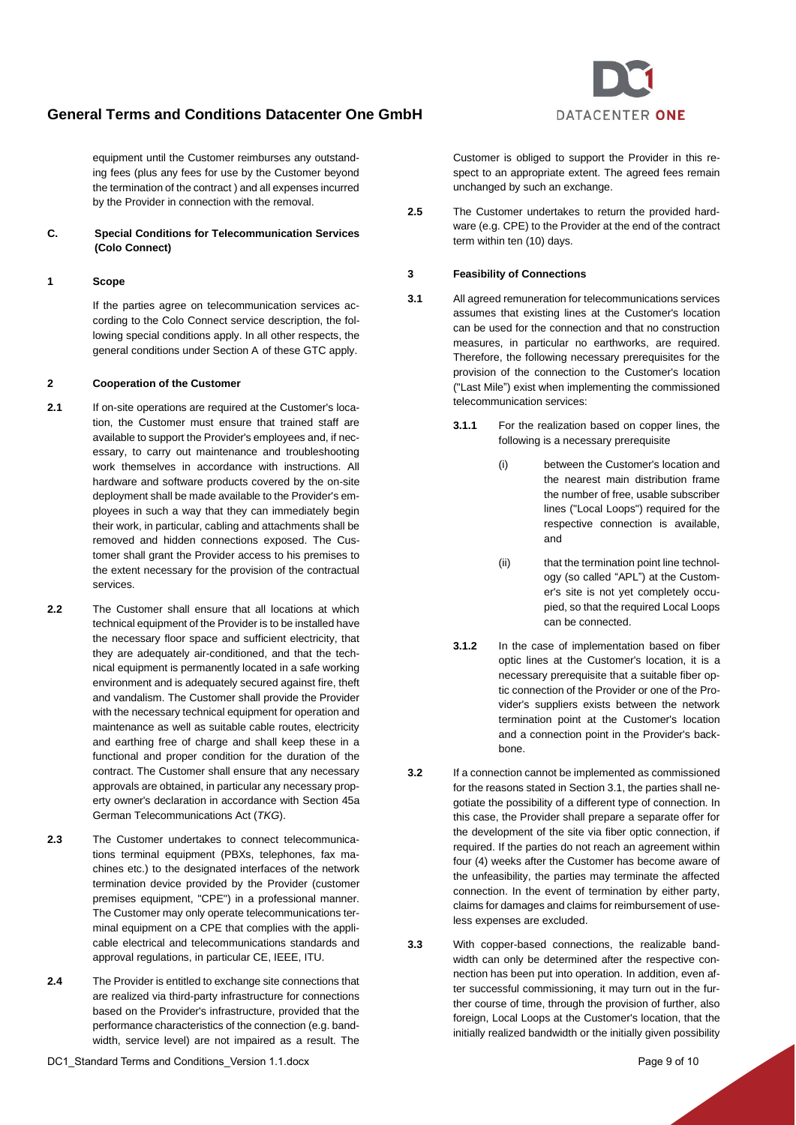

equipment until the Customer reimburses any outstanding fees (plus any fees for use by the Customer beyond the termination of the contract ) and all expenses incurred by the Provider in connection with the removal.

## <span id="page-8-0"></span>**C. Special Conditions for Telecommunication Services (Colo Connect)**

### **1 Scope**

If the parties agree on telecommunication services according to the Colo Connect service description, the following special conditions apply. In all other respects, the general conditions under Sectio[n A](#page-0-4) of these GTC apply.

### **2 Cooperation of the Customer**

- **2.1** If on-site operations are required at the Customer's location, the Customer must ensure that trained staff are available to support the Provider's employees and, if necessary, to carry out maintenance and troubleshooting work themselves in accordance with instructions. All hardware and software products covered by the on-site deployment shall be made available to the Provider's employees in such a way that they can immediately begin their work, in particular, cabling and attachments shall be removed and hidden connections exposed. The Customer shall grant the Provider access to his premises to the extent necessary for the provision of the contractual services.
- **2.2** The Customer shall ensure that all locations at which technical equipment of the Provider is to be installed have the necessary floor space and sufficient electricity, that they are adequately air-conditioned, and that the technical equipment is permanently located in a safe working environment and is adequately secured against fire, theft and vandalism. The Customer shall provide the Provider with the necessary technical equipment for operation and maintenance as well as suitable cable routes, electricity and earthing free of charge and shall keep these in a functional and proper condition for the duration of the contract. The Customer shall ensure that any necessary approvals are obtained, in particular any necessary property owner's declaration in accordance with Section 45a German Telecommunications Act (*TKG*).
- **2.3** The Customer undertakes to connect telecommunications terminal equipment (PBXs, telephones, fax machines etc.) to the designated interfaces of the network termination device provided by the Provider (customer premises equipment, "CPE") in a professional manner. The Customer may only operate telecommunications terminal equipment on a CPE that complies with the applicable electrical and telecommunications standards and approval regulations, in particular CE, IEEE, ITU.
- **2.4** The Provider is entitled to exchange site connections that are realized via third-party infrastructure for connections based on the Provider's infrastructure, provided that the performance characteristics of the connection (e.g. bandwidth, service level) are not impaired as a result. The

Customer is obliged to support the Provider in this respect to an appropriate extent. The agreed fees remain unchanged by such an exchange.

**2.5** The Customer undertakes to return the provided hardware (e.g. CPE) to the Provider at the end of the contract term within ten (10) days.

#### **3 Feasibility of Connections**

- <span id="page-8-1"></span>**3.1** All agreed remuneration for telecommunications services assumes that existing lines at the Customer's location can be used for the connection and that no construction measures, in particular no earthworks, are required. Therefore, the following necessary prerequisites for the provision of the connection to the Customer's location ("Last Mile") exist when implementing the commissioned telecommunication services:
	- **3.1.1** For the realization based on copper lines, the following is a necessary prerequisite
		- (i) between the Customer's location and the nearest main distribution frame the number of free, usable subscriber lines ("Local Loops") required for the respective connection is available, and
		- (ii) that the termination point line technology (so called "APL") at the Customer's site is not yet completely occupied, so that the required Local Loops can be connected.
	- **3.1.2** In the case of implementation based on fiber optic lines at the Customer's location, it is a necessary prerequisite that a suitable fiber optic connection of the Provider or one of the Provider's suppliers exists between the network termination point at the Customer's location and a connection point in the Provider's backbone.
- **3.2** If a connection cannot be implemented as commissioned for the reasons stated in Sectio[n 3.1,](#page-8-1) the parties shall negotiate the possibility of a different type of connection. In this case, the Provider shall prepare a separate offer for the development of the site via fiber optic connection, if required. If the parties do not reach an agreement within four (4) weeks after the Customer has become aware of the unfeasibility, the parties may terminate the affected connection. In the event of termination by either party, claims for damages and claims for reimbursement of useless expenses are excluded.
- **3.3** With copper-based connections, the realizable bandwidth can only be determined after the respective connection has been put into operation. In addition, even after successful commissioning, it may turn out in the further course of time, through the provision of further, also foreign, Local Loops at the Customer's location, that the initially realized bandwidth or the initially given possibility